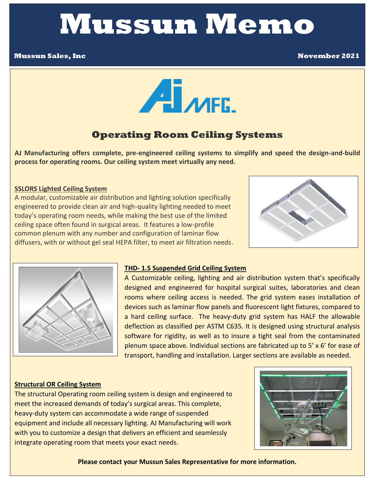# **Mussun Memo**

#### **Mussun Sales, Inc November 2021**



## **Operating Room Ceiling Systems**

**AJ Manufacturing offers complete, pre-engineered ceiling systems to simplify and speed the design-and-build process for operating rooms. Our ceiling system meet virtually any need.** 

#### **SSLORS Lighted Ceiling System**

 A modular, customizable air distribution and lighting solution specifically engineered to provide clean air and high-quality lighting needed to meet today's operating room needs, while making the best use of the limited ceiling space often found in surgical areas. It features a low-profile common plenum with any number and configuration of laminar flow diffusers, with or without gel seal HEPA filter, to meet air filtration needs.





#### **THD- 1.5 Suspended Grid Ceiling System**

 a hard ceiling surface. The heavy-duty grid system has HALF the allowable A Customizable ceiling, lighting and air distribution system that's specifically designed and engineered for hospital surgical suites, laboratories and clean rooms where ceiling access is needed. The grid system eases installation of devices such as laminar flow panels and fluorescent light fixtures, compared to deflection as classified per ASTM C635. It is designed using structural analysis software for rigidity, as well as to insure a tight seal from the contaminated plenum space above. Individual sections are fabricated up to 5' x 6' for ease of transport, handling and installation. Larger sections are available as needed.

#### **Structural OR Ceiling System**

 meet the increased demands of today's surgical areas. This complete,  equipment and include all necessary lighting. AJ Manufacturing will work The structural Operating room ceiling system is design and engineered to heavy-duty system can accommodate a wide range of suspended with you to customize a design that delivers an efficient and seamlessly integrate operating room that meets your exact needs.



**Please contact your Mussun Sales Representative for more information.**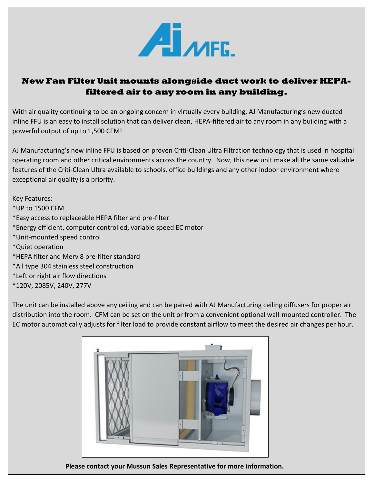

### **New Fan Filter Unit mounts alongside duct work to deliver HEPAfiltered air to any room in any building.**

 inline FFU is an easy to install solution that can deliver clean, HEPA-filtered air to any room in any building with a With air quality continuing to be an ongoing concern in virtually every building, AJ Manufacturing's new ducted powerful output of up to 1,500 CFM!

 operating room and other critical environments across the country. Now, this new unit make all the same valuable AJ Manufacturing's new inline FFU is based on proven Criti-Clean Ultra Filtration technology that is used in hospital features of the Criti-Clean Ultra available to schools, office buildings and any other indoor environment where exceptional air quality is a priority.

Key Features:

- \*UP to 1500 CFM
- \*Easy access to replaceable HEPA filter and pre-filter
- \*Energy efficient, computer controlled, variable speed EC motor
- \*Unit-mounted speed control
- \*Quiet operation
- \*HEPA filter and Merv 8 pre-filter standard
- \*All type 304 stainless steel construction
- \*Left or right air flow directions
- \*120V, 2085V, 240V, 277V

 The unit can be installed above any ceiling and can be paired with AJ Manufacturing ceiling diffusers for proper air  EC motor automatically adjusts for filter load to provide constant airflow to meet the desired air changes per hour. distribution into the room. CFM can be set on the unit or from a convenient optional wall-mounted controller. The



 **Please contact your Mussun Sales Representative for more information.**